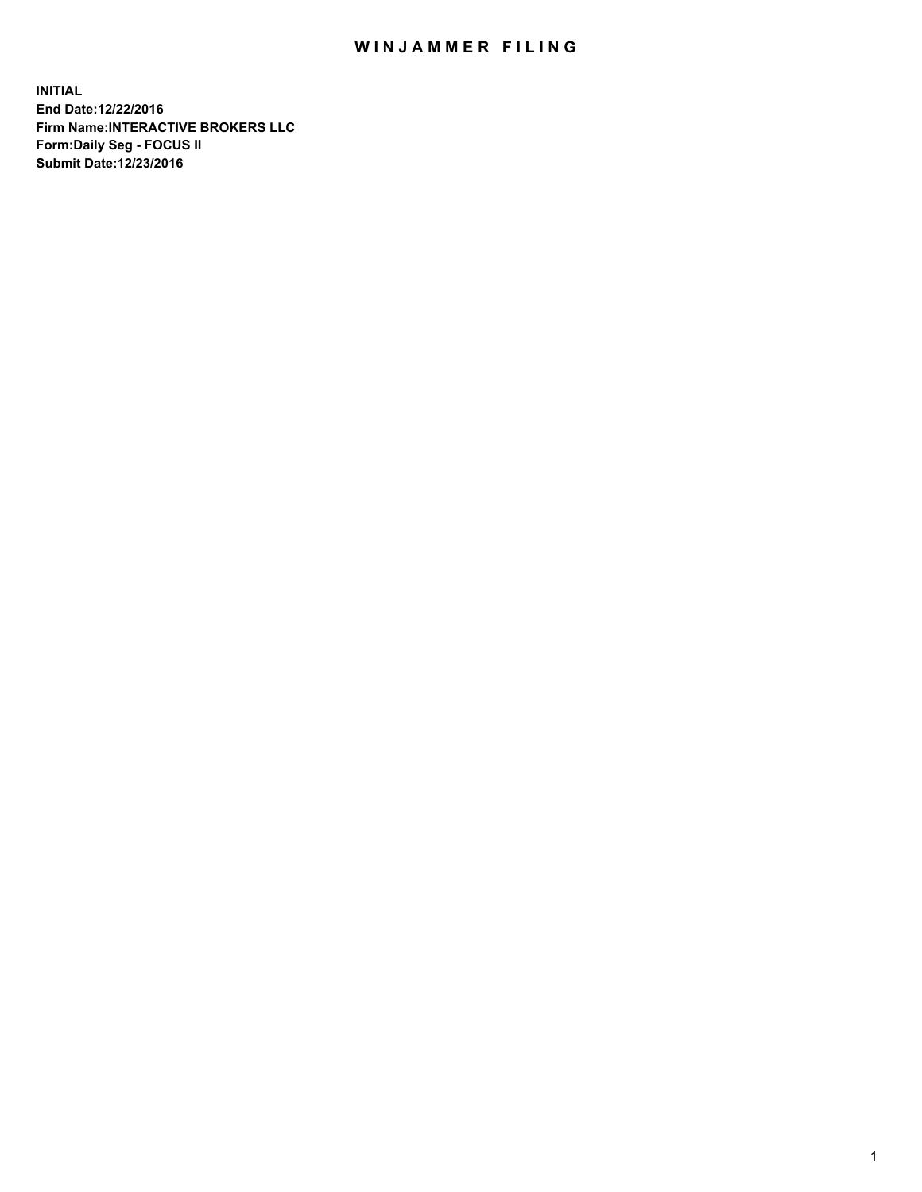## WIN JAMMER FILING

**INITIAL End Date:12/22/2016 Firm Name:INTERACTIVE BROKERS LLC Form:Daily Seg - FOCUS II Submit Date:12/23/2016**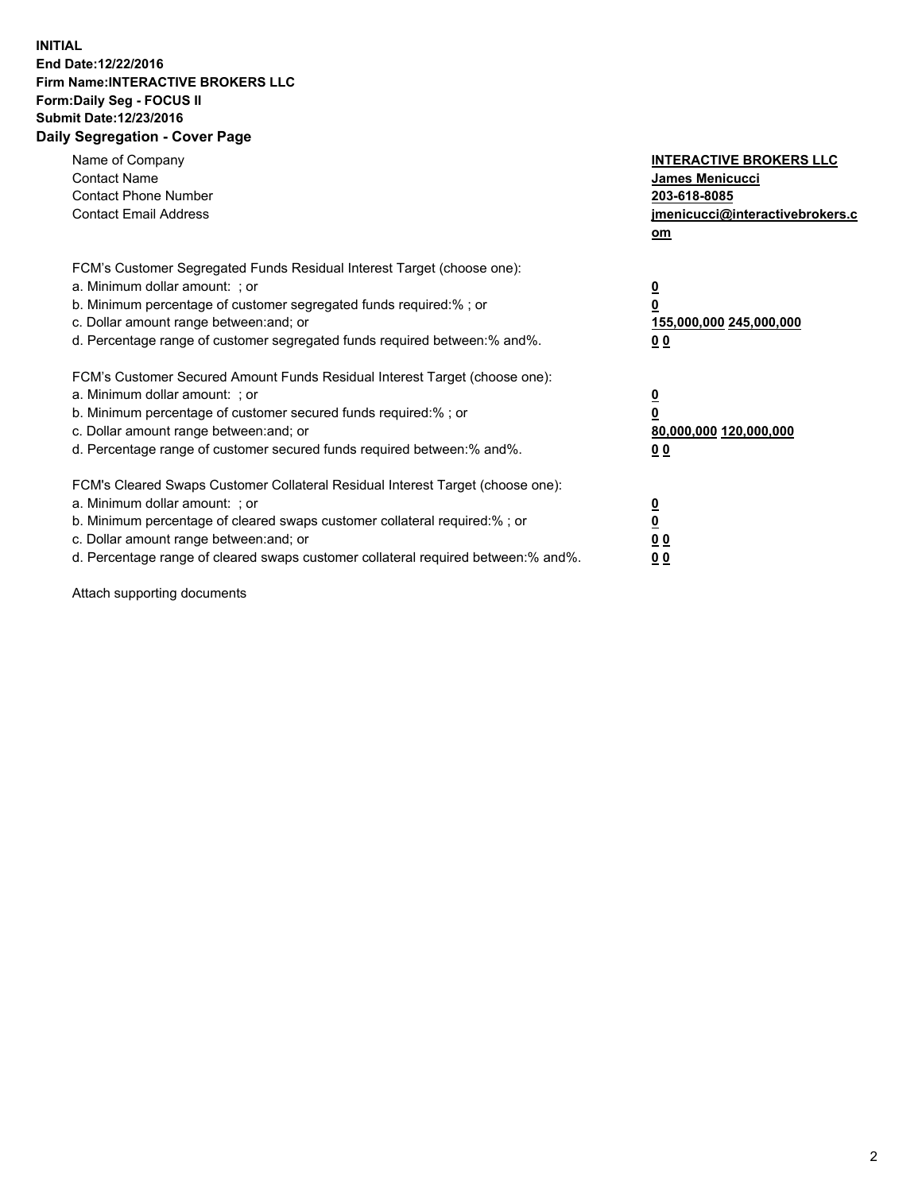## **INITIAL End Date:12/22/2016 Firm Name:INTERACTIVE BROKERS LLC Form:Daily Seg - FOCUS II Submit Date:12/23/2016 Daily Segregation - Cover Page**

| Name of Company<br><b>Contact Name</b><br><b>Contact Phone Number</b><br><b>Contact Email Address</b>                                                                                                                                                                                                                          | <b>INTERACTIVE BROKERS LLC</b><br>James Menicucci<br>203-618-8085<br><u>jmenicucci@interactivebrokers.c</u><br>om |
|--------------------------------------------------------------------------------------------------------------------------------------------------------------------------------------------------------------------------------------------------------------------------------------------------------------------------------|-------------------------------------------------------------------------------------------------------------------|
| FCM's Customer Segregated Funds Residual Interest Target (choose one):<br>a. Minimum dollar amount: ; or<br>b. Minimum percentage of customer segregated funds required:%; or<br>c. Dollar amount range between: and; or<br>d. Percentage range of customer segregated funds required between:% and%.                          | $\overline{\mathbf{0}}$<br>0<br>155,000,000 245,000,000<br>0 <sub>0</sub>                                         |
| FCM's Customer Secured Amount Funds Residual Interest Target (choose one):<br>a. Minimum dollar amount: ; or<br>b. Minimum percentage of customer secured funds required:%; or<br>c. Dollar amount range between: and; or<br>d. Percentage range of customer secured funds required between:% and%.                            | $\overline{\mathbf{0}}$<br>$\overline{\mathbf{0}}$<br>80,000,000 120,000,000<br>00                                |
| FCM's Cleared Swaps Customer Collateral Residual Interest Target (choose one):<br>a. Minimum dollar amount: ; or<br>b. Minimum percentage of cleared swaps customer collateral required:% ; or<br>c. Dollar amount range between: and; or<br>d. Percentage range of cleared swaps customer collateral required between:% and%. | $\overline{\mathbf{0}}$<br>$\overline{\mathbf{0}}$<br>0 <sub>0</sub><br><u>00</u>                                 |

Attach supporting documents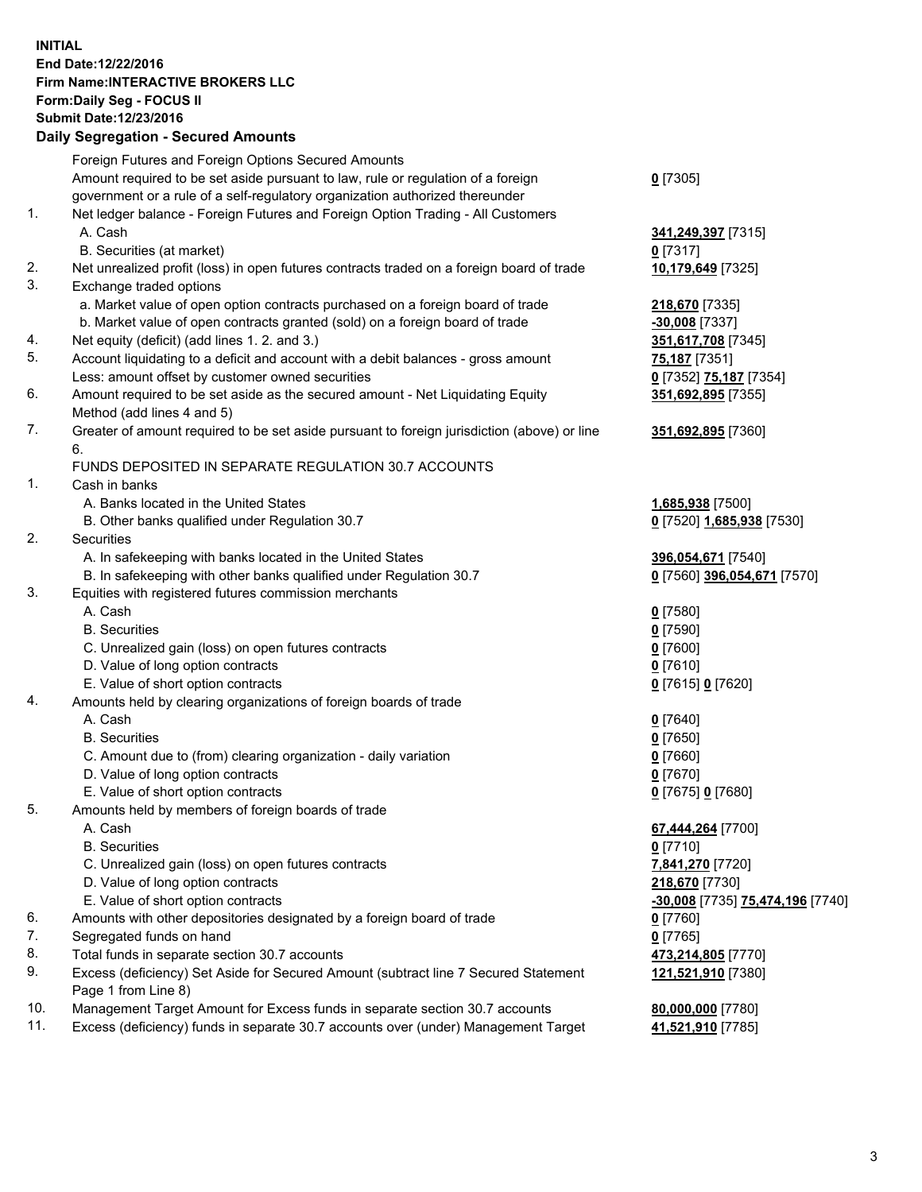## **INITIAL End Date:12/22/2016 Firm Name:INTERACTIVE BROKERS LLC Form:Daily Seg - FOCUS II Submit Date:12/23/2016 Daily Segregation - Secured Amounts**

|                | Daily Jegregation - Jeculed Aniounts                                                                       |                                  |
|----------------|------------------------------------------------------------------------------------------------------------|----------------------------------|
|                | Foreign Futures and Foreign Options Secured Amounts                                                        |                                  |
|                | Amount required to be set aside pursuant to law, rule or regulation of a foreign                           | $0$ [7305]                       |
|                | government or a rule of a self-regulatory organization authorized thereunder                               |                                  |
| 1.             | Net ledger balance - Foreign Futures and Foreign Option Trading - All Customers                            |                                  |
|                | A. Cash                                                                                                    | 341,249,397 [7315]               |
|                | B. Securities (at market)                                                                                  | $0$ [7317]                       |
| 2.             | Net unrealized profit (loss) in open futures contracts traded on a foreign board of trade                  | 10,179,649 [7325]                |
| 3.             | Exchange traded options                                                                                    |                                  |
|                | a. Market value of open option contracts purchased on a foreign board of trade                             | 218,670 [7335]                   |
|                | b. Market value of open contracts granted (sold) on a foreign board of trade                               | $-30,008$ [7337]                 |
| 4.             | Net equity (deficit) (add lines 1.2. and 3.)                                                               | 351,617,708 [7345]               |
| 5.             | Account liquidating to a deficit and account with a debit balances - gross amount                          | 75,187 [7351]                    |
|                | Less: amount offset by customer owned securities                                                           | 0 [7352] 75,187 [7354]           |
| 6.             | Amount required to be set aside as the secured amount - Net Liquidating Equity                             | 351,692,895 [7355]               |
|                | Method (add lines 4 and 5)                                                                                 |                                  |
| 7.             | Greater of amount required to be set aside pursuant to foreign jurisdiction (above) or line                | 351,692,895 [7360]               |
|                | 6.                                                                                                         |                                  |
|                | FUNDS DEPOSITED IN SEPARATE REGULATION 30.7 ACCOUNTS                                                       |                                  |
| $\mathbf{1}$ . | Cash in banks                                                                                              |                                  |
|                | A. Banks located in the United States                                                                      | 1,685,938 [7500]                 |
|                | B. Other banks qualified under Regulation 30.7                                                             | 0 [7520] 1,685,938 [7530]        |
| 2.             | Securities                                                                                                 |                                  |
|                | A. In safekeeping with banks located in the United States                                                  | 396,054,671 [7540]               |
|                | B. In safekeeping with other banks qualified under Regulation 30.7                                         | 0 [7560] 396,054,671 [7570]      |
| 3.             | Equities with registered futures commission merchants                                                      |                                  |
|                | A. Cash                                                                                                    | $0$ [7580]                       |
|                | <b>B.</b> Securities                                                                                       | $0$ [7590]                       |
|                | C. Unrealized gain (loss) on open futures contracts                                                        | $0$ [7600]                       |
|                | D. Value of long option contracts                                                                          | $0$ [7610]                       |
|                | E. Value of short option contracts                                                                         | 0 [7615] 0 [7620]                |
| 4.             | Amounts held by clearing organizations of foreign boards of trade                                          |                                  |
|                | A. Cash                                                                                                    | $0$ [7640]                       |
|                | <b>B.</b> Securities                                                                                       | $0$ [7650]                       |
|                | C. Amount due to (from) clearing organization - daily variation                                            | $0$ [7660]                       |
|                | D. Value of long option contracts                                                                          | $0$ [7670]                       |
|                | E. Value of short option contracts                                                                         | 0 [7675] 0 [7680]                |
| 5.             | Amounts held by members of foreign boards of trade                                                         |                                  |
|                | A. Cash                                                                                                    | 67,444,264 [7700]                |
|                | <b>B.</b> Securities                                                                                       | $0$ [7710]                       |
|                | C. Unrealized gain (loss) on open futures contracts                                                        | 7,841,270 [7720]                 |
|                | D. Value of long option contracts                                                                          | 218,670 [7730]                   |
|                | E. Value of short option contracts                                                                         | -30,008 [7735] 75,474,196 [7740] |
| 6.             | Amounts with other depositories designated by a foreign board of trade                                     | 0 [7760]                         |
| 7.             | Segregated funds on hand                                                                                   | $0$ [7765]                       |
| 8.             | Total funds in separate section 30.7 accounts                                                              | 473,214,805 [7770]               |
| 9.             | Excess (deficiency) Set Aside for Secured Amount (subtract line 7 Secured Statement<br>Page 1 from Line 8) | 121,521,910 [7380]               |
| 10.            | Management Target Amount for Excess funds in separate section 30.7 accounts                                | 80,000,000 [7780]                |
| 11.            | Excess (deficiency) funds in separate 30.7 accounts over (under) Management Target                         | 41,521,910 [7785]                |
|                |                                                                                                            |                                  |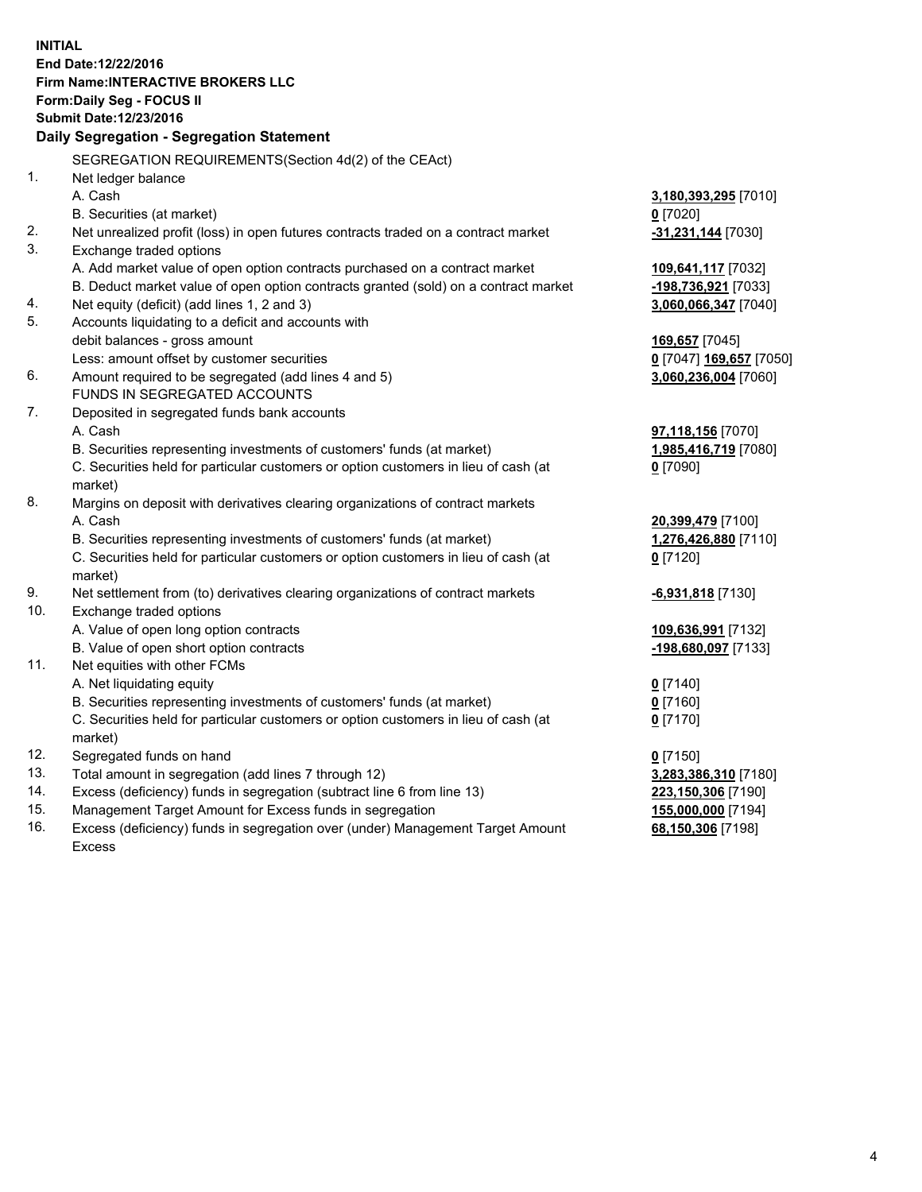**INITIAL End Date:12/22/2016 Firm Name:INTERACTIVE BROKERS LLC Form:Daily Seg - FOCUS II Submit Date:12/23/2016 Daily Segregation - Segregation Statement** SEGREGATION REQUIREMENTS(Section 4d(2) of the CEAct) 1. Net ledger balance A. Cash **3,180,393,295** [7010] B. Securities (at market) **0** [7020] 2. Net unrealized profit (loss) in open futures contracts traded on a contract market **-31,231,144** [7030] 3. Exchange traded options A. Add market value of open option contracts purchased on a contract market **109,641,117** [7032] B. Deduct market value of open option contracts granted (sold) on a contract market **-198,736,921** [7033] 4. Net equity (deficit) (add lines 1, 2 and 3) **3,060,066,347** [7040] 5. Accounts liquidating to a deficit and accounts with debit balances - gross amount **169,657** [7045] Less: amount offset by customer securities **0** [7047] **169,657** [7050] 6. Amount required to be segregated (add lines 4 and 5) **3,060,236,004** [7060] FUNDS IN SEGREGATED ACCOUNTS 7. Deposited in segregated funds bank accounts A. Cash **97,118,156** [7070] B. Securities representing investments of customers' funds (at market) **1,985,416,719** [7080] C. Securities held for particular customers or option customers in lieu of cash (at market) **0** [7090] 8. Margins on deposit with derivatives clearing organizations of contract markets A. Cash **20,399,479** [7100] B. Securities representing investments of customers' funds (at market) **1,276,426,880** [7110] C. Securities held for particular customers or option customers in lieu of cash (at market) **0** [7120] 9. Net settlement from (to) derivatives clearing organizations of contract markets **-6,931,818** [7130] 10. Exchange traded options A. Value of open long option contracts **109,636,991** [7132] B. Value of open short option contracts **-198,680,097** [7133] 11. Net equities with other FCMs A. Net liquidating equity **0** [7140] B. Securities representing investments of customers' funds (at market) **0** [7160] C. Securities held for particular customers or option customers in lieu of cash (at market) **0** [7170] 12. Segregated funds on hand **0** [7150] 13. Total amount in segregation (add lines 7 through 12) **3,283,386,310** [7180] 14. Excess (deficiency) funds in segregation (subtract line 6 from line 13) **223,150,306** [7190] 15. Management Target Amount for Excess funds in segregation **155,000,000** [7194] **68,150,306** [7198]

16. Excess (deficiency) funds in segregation over (under) Management Target Amount Excess